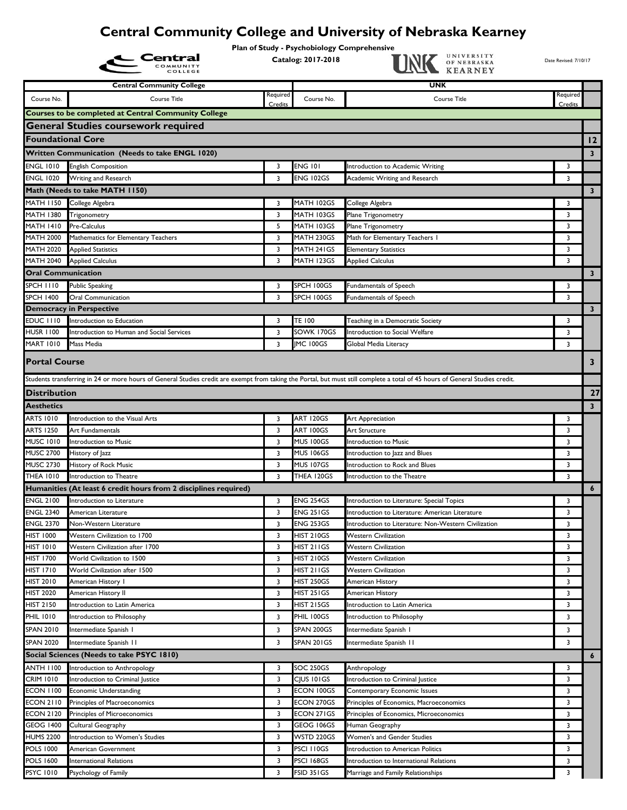## **Central Community College and University of Nebraska Kearney**

Plan of Study - Psychobiology Comprehensive<br>Catalog: 2017-2018 **Central** Catalog: 2017-2018 Catalog: 2017-2018 Catalog: 2017-2018 Date Revised: 7/10/17

|                                      | <b>COLLEGE</b>                                                                                                                                                                |          |                                      | <u>UALINE REARNEI</u>                                                                                   |          |                         |
|--------------------------------------|-------------------------------------------------------------------------------------------------------------------------------------------------------------------------------|----------|--------------------------------------|---------------------------------------------------------------------------------------------------------|----------|-------------------------|
|                                      | <b>Central Community College</b>                                                                                                                                              |          |                                      | <b>UNK</b>                                                                                              |          |                         |
| Course No.                           | <b>Course Title</b>                                                                                                                                                           | Required | Course No.                           | <b>Course Title</b>                                                                                     | Required |                         |
|                                      | <b>Courses to be completed at Central Community College</b>                                                                                                                   | Credits  |                                      |                                                                                                         | Credits  |                         |
|                                      | <b>General Studies coursework required</b>                                                                                                                                    |          |                                      |                                                                                                         |          |                         |
|                                      |                                                                                                                                                                               |          |                                      |                                                                                                         |          |                         |
| <b>Foundational Core</b>             |                                                                                                                                                                               |          |                                      |                                                                                                         |          | 12                      |
|                                      | Written Communication (Needs to take ENGL 1020)                                                                                                                               |          |                                      |                                                                                                         |          | $\mathbf{3}$            |
| <b>ENGL 1010</b>                     | <b>English Composition</b>                                                                                                                                                    | 3        | <b>ENG 101</b>                       | Introduction to Academic Writing                                                                        | 3        |                         |
| <b>ENGL 1020</b>                     | Writing and Research                                                                                                                                                          | 3        | <b>ENG 102GS</b>                     | Academic Writing and Research                                                                           | 3        |                         |
|                                      | Math (Needs to take MATH 1150)                                                                                                                                                |          |                                      |                                                                                                         |          | $\mathbf{3}$            |
| <b>MATH 1150</b>                     | College Algebra                                                                                                                                                               | 3        | MATH 102GS                           | College Algebra                                                                                         | 3        |                         |
| <b>MATH 1380</b>                     | Trigonometry                                                                                                                                                                  | 3        | MATH 103GS                           | Plane Trigonometry                                                                                      | 3        |                         |
| <b>MATH 1410</b>                     | Pre-Calculus                                                                                                                                                                  | 5        | MATH 103GS                           | Plane Trigonometry                                                                                      | 3        |                         |
| MATH 2000                            | Mathematics for Elementary Teachers                                                                                                                                           | 3        | MATH 230GS                           | Math for Elementary Teachers I                                                                          | 3        |                         |
| <b>MATH 2020</b>                     | <b>Applied Statistics</b>                                                                                                                                                     | 3        | MATH 241GS                           | <b>Elementary Statistics</b>                                                                            | 3        |                         |
| <b>MATH 2040</b>                     | <b>Applied Calculus</b>                                                                                                                                                       | 3        | MATH 123GS                           | <b>Applied Calculus</b>                                                                                 | 3        |                         |
| <b>Oral Communication</b>            |                                                                                                                                                                               |          |                                      |                                                                                                         |          | $\mathbf{3}$            |
| <b>SPCH 1110</b>                     | <b>Public Speaking</b>                                                                                                                                                        | 3        | SPCH 100GS                           | Fundamentals of Speech                                                                                  | 3        |                         |
| <b>SPCH 1400</b>                     | <b>Oral Communication</b>                                                                                                                                                     | 3        | SPCH 100GS                           | Fundamentals of Speech                                                                                  | 3        |                         |
|                                      | <b>Democracy in Perspective</b>                                                                                                                                               |          |                                      |                                                                                                         |          | $\overline{\mathbf{3}}$ |
| EDUC III0                            | Introduction to Education                                                                                                                                                     | 3        | TE 100                               | Teaching in a Democratic Society                                                                        | 3        |                         |
| <b>HUSR 1100</b>                     | Introduction to Human and Social Services                                                                                                                                     | 3        | SOWK 170GS                           | Introduction to Social Welfare                                                                          | 3        |                         |
| <b>MART 1010</b>                     | Mass Media                                                                                                                                                                    | 3        | <b>IMC 100GS</b>                     | Global Media Literacy                                                                                   | 3        |                         |
| <b>Portal Course</b>                 |                                                                                                                                                                               |          |                                      |                                                                                                         |          | 3                       |
|                                      | Students transferring in 24 or more hours of General Studies credit are exempt from taking the Portal, but must still complete a total of 45 hours of General Studies credit. |          |                                      |                                                                                                         |          |                         |
| <b>Distribution</b>                  |                                                                                                                                                                               |          |                                      |                                                                                                         |          | 27                      |
|                                      |                                                                                                                                                                               |          |                                      |                                                                                                         |          |                         |
| <b>Aesthetics</b>                    |                                                                                                                                                                               |          |                                      |                                                                                                         |          | $\overline{\mathbf{3}}$ |
| <b>ARTS 1010</b>                     | Introduction to the Visual Arts                                                                                                                                               | 3        | <b>ART 120GS</b>                     | Art Appreciation                                                                                        | 3        |                         |
| <b>ARTS 1250</b>                     | Art Fundamentals                                                                                                                                                              | 3        | ART 100GS                            | Art Structure                                                                                           | 3        |                         |
| <b>MUSC 1010</b><br><b>MUSC 2700</b> | Introduction to Music                                                                                                                                                         | 3        | <b>MUS 100GS</b>                     | Introduction to Music                                                                                   | 3        |                         |
|                                      | History of Jazz                                                                                                                                                               | 3        | <b>MUS 106GS</b>                     | Introduction to Jazz and Blues                                                                          | 3        |                         |
| <b>MUSC 2730</b>                     | History of Rock Music<br>Introduction to Theatre                                                                                                                              | 3        | <b>MUS 107GS</b>                     | Introduction to Rock and Blues                                                                          | 3<br>3   |                         |
| <b>THEA 1010</b>                     |                                                                                                                                                                               | 3        | THEA 120GS                           | Introduction to the Theatre                                                                             |          |                         |
| <b>ENGL 2100</b>                     | Humanities (At least 6 credit hours from 2 disciplines required)                                                                                                              |          |                                      |                                                                                                         |          | $\boldsymbol{6}$        |
|                                      | Introduction to Literature                                                                                                                                                    | 3        | <b>ENG 254GS</b>                     | Introduction to Literature: Special Topics                                                              | 3        |                         |
| <b>ENGL 2340</b><br><b>ENGL 2370</b> | American Literature<br>Non-Western Literature                                                                                                                                 | 3        | <b>ENG 251GS</b><br><b>ENG 253GS</b> | Introduction to Literature: American Literature<br>Introduction to Literature: Non-Western Civilization | 3<br>3   |                         |
| <b>HIST 1000</b>                     | Western Civilization to 1700                                                                                                                                                  | 3<br>3   | <b>HIST 210GS</b>                    | <b>Western Civilization</b>                                                                             | 3        |                         |
| <b>HIST 1010</b>                     | Western Civilization after 1700                                                                                                                                               | 3        | HIST 211GS                           | Western Civilization                                                                                    | 3        |                         |
| <b>HIST 1700</b>                     | World Civilization to 1500                                                                                                                                                    | 3        | <b>HIST 210GS</b>                    | <b>Western Civilization</b>                                                                             | 3        |                         |
| <b>HIST 1710</b>                     | World Civilization after 1500                                                                                                                                                 | 3        | HIST 211GS                           | <b>Western Civilization</b>                                                                             | 3        |                         |
| <b>HIST 2010</b>                     | American History I                                                                                                                                                            | 3        | HIST 250GS                           | American History                                                                                        | 3        |                         |
| <b>HIST 2020</b>                     | American History II                                                                                                                                                           | 3        | HIST 251 GS                          | American History                                                                                        | 3        |                         |
| <b>HIST 2150</b>                     | Introduction to Latin America                                                                                                                                                 | 3        | HIST 215GS                           | Introduction to Latin America                                                                           | 3        |                         |
| <b>PHIL 1010</b>                     | Introduction to Philosophy                                                                                                                                                    | 3        | PHIL 100GS                           | Introduction to Philosophy                                                                              | 3        |                         |
| <b>SPAN 2010</b>                     | Intermediate Spanish I                                                                                                                                                        | 3        | SPAN 200GS                           | Intermediate Spanish I                                                                                  | 3        |                         |
| <b>SPAN 2020</b>                     | Intermediate Spanish II                                                                                                                                                       | 3        | SPAN 201GS                           | Intermediate Spanish II                                                                                 | 3        |                         |
|                                      |                                                                                                                                                                               |          |                                      |                                                                                                         |          |                         |
|                                      | Social Sciences (Needs to take PSYC 1810)                                                                                                                                     |          |                                      |                                                                                                         |          | $\boldsymbol{6}$        |
| <b>ANTH 1100</b>                     | Introduction to Anthropology                                                                                                                                                  | 3        | <b>SOC 250GS</b>                     | Anthropology                                                                                            | 3        |                         |
| CRIM 1010                            | Introduction to Criminal Justice                                                                                                                                              | 3        | CIUS 101GS                           | Introduction to Criminal Justice                                                                        | 3        |                         |
| <b>ECON 1100</b><br><b>ECON 2110</b> | <b>Economic Understanding</b>                                                                                                                                                 | 3<br>3   | ECON 100GS                           | Contemporary Economic Issues                                                                            | 3<br>3   |                         |
| <b>ECON 2120</b>                     | Principles of Macroeconomics                                                                                                                                                  | 3        | ECON 270GS<br>ECON 271GS             | Principles of Economics, Macroeconomics                                                                 | 3        |                         |
|                                      | Principles of Microeconomics                                                                                                                                                  | 3        | GEOG 106GS                           | Principles of Economics, Microeconomics                                                                 |          |                         |
| GEOG 1400<br><b>HUMS 2200</b>        | Cultural Geography<br>Introduction to Women's Studies                                                                                                                         | 3        | WSTD 220GS                           | Human Geography<br>Women's and Gender Studies                                                           | 3<br>3   |                         |
| <b>POLS 1000</b>                     | American Government                                                                                                                                                           | 3        | PSCI I IOGS                          | Introduction to American Politics                                                                       | 3        |                         |
| <b>POLS 1600</b>                     | <b>International Relations</b>                                                                                                                                                | 3        | <b>PSCI 168GS</b>                    | Introduction to International Relations                                                                 | 3        |                         |
| <b>PSYC 1010</b>                     | Psychology of Family                                                                                                                                                          | 3        | <b>FSID 351GS</b>                    |                                                                                                         | 3        |                         |
|                                      |                                                                                                                                                                               |          |                                      | Marriage and Family Relationships                                                                       |          |                         |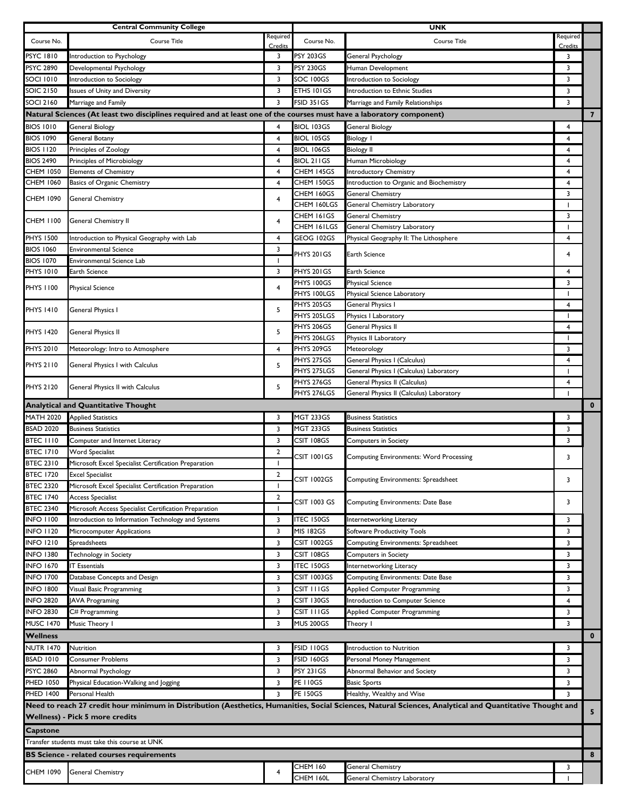|                                      | <b>Central Community College</b>                                                                                      |                     |                           | <b>UNK</b>                                                                                                                                               |                |                |
|--------------------------------------|-----------------------------------------------------------------------------------------------------------------------|---------------------|---------------------------|----------------------------------------------------------------------------------------------------------------------------------------------------------|----------------|----------------|
| Course No.                           | Course Title                                                                                                          | Required            | Course No.                | <b>Course Title</b>                                                                                                                                      | Required       |                |
| <b>PSYC 1810</b>                     | Introduction to Psychology                                                                                            | Credits<br>3        | <b>PSY 203GS</b>          | General Psychology                                                                                                                                       | Credits<br>3   |                |
| <b>PSYC 2890</b>                     | Developmental Psychology                                                                                              | 3                   | <b>PSY 230GS</b>          | Human Development                                                                                                                                        | 3              |                |
| <b>SOCI 1010</b>                     | Introduction to Sociology                                                                                             | 3                   | SOC 100GS                 | Introduction to Sociology                                                                                                                                | 3              |                |
| <b>SOIC 2150</b>                     | Issues of Unity and Diversity                                                                                         | 3                   | ETHS 101GS                | Introduction to Ethnic Studies                                                                                                                           | 3              |                |
| <b>SOCI 2160</b>                     | Marriage and Family                                                                                                   | 3                   | FSID 351GS                | Marriage and Family Relationships                                                                                                                        | 3              |                |
|                                      | Natural Sciences (At least two disciplines required and at least one of the courses must have a laboratory component) |                     |                           |                                                                                                                                                          |                | $\overline{7}$ |
| <b>BIOS 1010</b>                     | <b>General Biology</b>                                                                                                | 4                   | BIOL 103GS                |                                                                                                                                                          | 4              |                |
| <b>BIOS 1090</b>                     | General Botany                                                                                                        | 4                   | <b>BIOL 105GS</b>         | <b>General Biology</b>                                                                                                                                   | $\overline{4}$ |                |
| <b>BIOS 1120</b>                     | Principles of Zoology                                                                                                 | 4                   | <b>BIOL 106GS</b>         | <b>Biology I</b><br><b>Biology II</b>                                                                                                                    | 4              |                |
| <b>BIOS 2490</b>                     | Principles of Microbiology                                                                                            | $\overline{4}$      | BIOL 211GS                | Human Microbiology                                                                                                                                       | 4              |                |
| <b>CHEM 1050</b>                     | <b>Elements of Chemistry</b>                                                                                          | 4                   | CHEM 145GS                | Introductory Chemistry                                                                                                                                   | 4              |                |
| CHEM 1060                            | Basics of Organic Chemistry                                                                                           | 4                   | CHEM 150GS                | Introduction to Organic and Biochemistry                                                                                                                 | 4              |                |
|                                      |                                                                                                                       |                     | CHEM 160GS                | General Chemistry                                                                                                                                        | 3              |                |
| <b>CHEM 1090</b>                     | General Chemistry                                                                                                     | 4                   | CHEM 160LGS               | General Chemistry Laboratory                                                                                                                             |                |                |
|                                      |                                                                                                                       |                     | CHEM 161GS                | <b>General Chemistry</b>                                                                                                                                 | 3              |                |
| <b>CHEM 1100</b>                     | General Chemistry II                                                                                                  | 4                   | <b>CHEM 161LGS</b>        | General Chemistry Laboratory                                                                                                                             |                |                |
| <b>PHYS 1500</b>                     | Introduction to Physical Geography with Lab                                                                           | 4                   | GEOG 102GS                | Physical Geography II: The Lithosphere                                                                                                                   | 4              |                |
| <b>BIOS 1060</b>                     | <b>Environmental Science</b>                                                                                          | 3                   | PHYS 201GS                | Earth Science                                                                                                                                            | 4              |                |
| <b>BIOS 1070</b>                     | Environmental Science Lab                                                                                             | 1                   |                           |                                                                                                                                                          |                |                |
| <b>PHYS 1010</b>                     | Earth Science                                                                                                         | 3                   | PHYS 201GS                | <b>Earth Science</b>                                                                                                                                     | 4              |                |
| <b>PHYS 1100</b>                     | <b>Physical Science</b>                                                                                               | 4                   | PHYS 100GS                | <b>Physical Science</b>                                                                                                                                  | 3              |                |
|                                      |                                                                                                                       |                     | PHYS 100LGS               | Physical Science Laboratory                                                                                                                              |                |                |
| <b>PHYS 1410</b>                     | General Physics I                                                                                                     | 5                   | PHYS 205GS                | General Physics I                                                                                                                                        | $\overline{4}$ |                |
|                                      |                                                                                                                       |                     | PHYS 205LGS               | Physics I Laboratory                                                                                                                                     |                |                |
| <b>PHYS 1420</b>                     | General Physics II                                                                                                    | 5                   | PHYS 206GS                | General Physics II                                                                                                                                       | 4              |                |
|                                      |                                                                                                                       |                     | PHYS 206LGS               | Physics II Laboratory                                                                                                                                    | -1             |                |
| <b>PHYS 2010</b>                     | Meteorology: Intro to Atmosphere                                                                                      | $\overline{4}$      | PHYS 209GS                | Meteorology                                                                                                                                              | 3              |                |
| <b>PHYS 2110</b>                     | General Physics I with Calculus                                                                                       | 5                   | PHYS 275GS<br>PHYS 275LGS | General Physics I (Calculus)                                                                                                                             | 4              |                |
|                                      |                                                                                                                       |                     | PHYS 276GS                | General Physics I (Calculus) Laboratory<br>General Physics II (Calculus)                                                                                 | 4              |                |
| <b>PHYS 2120</b>                     | General Physics II with Calculus                                                                                      | 5                   | PHYS 276LGS               | General Physics II (Calculus) Laboratory                                                                                                                 |                |                |
|                                      | <b>Analytical and Quantitative Thought</b>                                                                            |                     |                           |                                                                                                                                                          |                | $\mathbf{0}$   |
|                                      |                                                                                                                       |                     |                           |                                                                                                                                                          |                |                |
|                                      |                                                                                                                       |                     |                           |                                                                                                                                                          |                |                |
| <b>MATH 2020</b>                     | <b>Applied Statistics</b>                                                                                             | 3                   | <b>MGT 233GS</b>          | <b>Business Statistics</b>                                                                                                                               | 3              |                |
| <b>BSAD 2020</b>                     | <b>Business Statistics</b>                                                                                            | 3                   | <b>MGT 233GS</b>          | <b>Business Statistics</b>                                                                                                                               | 3              |                |
| <b>BTEC 1110</b>                     | Computer and Internet Literacy                                                                                        | 3                   | CSIT 108GS                | <b>Computers in Society</b>                                                                                                                              | 3              |                |
| <b>BTEC 1710</b>                     | <b>Word Specialist</b>                                                                                                | $\overline{2}$<br>ı | CSIT 1001GS               | <b>Computing Environments: Word Processing</b>                                                                                                           | 3              |                |
| <b>BTEC 2310</b><br><b>BTEC 1720</b> | Microsoft Excel Specialist Certification Preparation<br><b>Excel Specialist</b>                                       | $\overline{2}$      |                           |                                                                                                                                                          |                |                |
| <b>BTEC 2320</b>                     | Microsoft Excel Specialist Certification Preparation                                                                  |                     | <b>CSIT 1002GS</b>        | Computing Environments: Spreadsheet                                                                                                                      | 3              |                |
| <b>BTEC 1740</b>                     | Access Specialist                                                                                                     | $\overline{2}$      |                           |                                                                                                                                                          |                |                |
| <b>BTEC 2340</b>                     | Microsoft Access Specialist Certification Preparation                                                                 | -1                  | CSIT 1003 GS              | Computing Environments: Date Base                                                                                                                        | 3              |                |
| <b>INFO 1100</b>                     | Introduction to Information Technology and Systems                                                                    | 3                   | <b>ITEC 150GS</b>         | Internetworking Literacy                                                                                                                                 | 3              |                |
| <b>INFO 1120</b>                     | Microcomputer Applications                                                                                            | 3                   | <b>MIS 182GS</b>          | Software Productivity Tools                                                                                                                              | 3              |                |
| <b>INFO 1210</b>                     | Spreadsheets                                                                                                          | 3                   | CSIT 1002GS               | Computing Environments: Spreadsheet                                                                                                                      | 3              |                |
| <b>INFO 1380</b>                     | Technology in Society                                                                                                 | 3                   | CSIT 108GS                | <b>Computers in Society</b>                                                                                                                              | 3              |                |
| <b>INFO 1670</b>                     | <b>IT Essentials</b>                                                                                                  | 3                   | <b>TEC 150GS</b>          | Internetworking Literacy                                                                                                                                 | 3              |                |
| <b>INFO 1700</b>                     | Database Concepts and Design                                                                                          | 3                   | CSIT 1003GS               | Computing Environments: Date Base                                                                                                                        | 3              |                |
| <b>INFO 1800</b>                     | Visual Basic Programming                                                                                              | 3                   | CSIT I I I GS             | Applied Computer Programming                                                                                                                             | 3              |                |
| <b>INFO 2820</b>                     | <b>JAVA Programing</b>                                                                                                | 3                   | CSIT 130GS                | Introduction to Computer Science                                                                                                                         | $\overline{4}$ |                |
| <b>INFO 2830</b>                     | C# Programming                                                                                                        | 3                   | CSIT I I I GS             | Applied Computer Programming                                                                                                                             | 3              |                |
| <b>MUSC 1470</b>                     | Music Theory I                                                                                                        | 3                   | <b>MUS 200GS</b>          | Theory I                                                                                                                                                 | 3              |                |
| <b>Wellness</b>                      |                                                                                                                       |                     |                           |                                                                                                                                                          |                | $\bf{0}$       |
| NUTR 1470                            | Nutrition                                                                                                             | 3                   | FSID 110GS                | Introduction to Nutrition                                                                                                                                | 3              |                |
| <b>BSAD 1010</b>                     | Consumer Problems                                                                                                     | 3                   | <b>FSID 160GS</b>         | Personal Money Management                                                                                                                                | 3              |                |
| <b>PSYC 2860</b>                     | Abnormal Psychology                                                                                                   | 3                   | <b>PSY 231GS</b>          | Abnormal Behavior and Society                                                                                                                            | 3              |                |
| <b>PHED 1050</b>                     | Physical Education-Walking and Jogging                                                                                | 3                   | <b>PE 110GS</b>           | <b>Basic Sports</b>                                                                                                                                      | 3              |                |
| <b>PHED 1400</b>                     | Personal Health                                                                                                       | 3                   | <b>PE 150GS</b>           | Healthy, Wealthy and Wise                                                                                                                                | 3              |                |
|                                      |                                                                                                                       |                     |                           | Need to reach 27 credit hour minimum in Distribution (Aesthetics, Humanities, Social Sciences, Natural Sciences, Analytical and Quantitative Thought and |                |                |
|                                      | Wellness) - Pick 5 more credits                                                                                       |                     |                           |                                                                                                                                                          |                | 5              |
| <b>Capstone</b>                      |                                                                                                                       |                     |                           |                                                                                                                                                          |                |                |
|                                      | Transfer students must take this course at UNK                                                                        |                     |                           |                                                                                                                                                          |                |                |
|                                      | <b>BS Science - related courses requirements</b>                                                                      |                     |                           |                                                                                                                                                          |                | 8              |
|                                      |                                                                                                                       |                     | <b>CHEM 160</b>           |                                                                                                                                                          | 3              |                |
| <b>CHEM 1090</b>                     | General Chemistry                                                                                                     | 4                   | CHEM 160L                 | General Chemistry<br>General Chemistry Laboratory                                                                                                        |                |                |